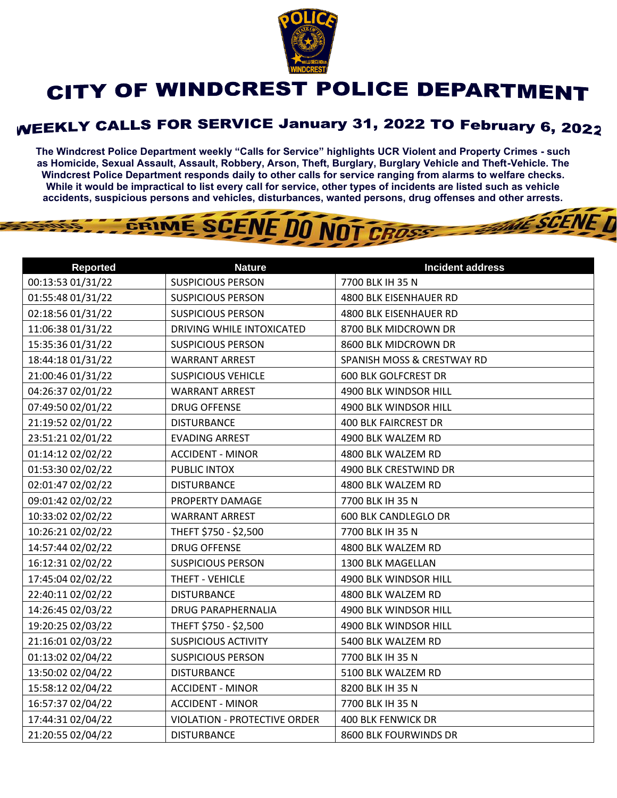

## CITY OF WINDCREST POLICE DEPARTMENT

## **WEEKLY CALLS FOR SERVICE January 31, 2022 TO February 6, 2022**

**The Windcrest Police Department weekly "Calls for Service" highlights UCR Violent and Property Crimes - such as Homicide, Sexual Assault, Assault, Robbery, Arson, Theft, Burglary, Burglary Vehicle and Theft-Vehicle. The Windcrest Police Department responds daily to other calls for service ranging from alarms to welfare checks. While it would be impractical to list every call for service, other types of incidents are listed such as vehicle accidents, suspicious persons and vehicles, disturbances, wanted persons, drug offenses and other arrests.** 

**THE SCENE D** 

## GRIME SCENE DO NOT CROSS

| <b>Reported</b>   | <b>Nature</b>                       | <b>Incident address</b>     |
|-------------------|-------------------------------------|-----------------------------|
| 00:13:53 01/31/22 | <b>SUSPICIOUS PERSON</b>            | 7700 BLK IH 35 N            |
| 01:55:48 01/31/22 | <b>SUSPICIOUS PERSON</b>            | 4800 BLK EISENHAUER RD      |
| 02:18:56 01/31/22 | <b>SUSPICIOUS PERSON</b>            | 4800 BLK EISENHAUER RD      |
| 11:06:38 01/31/22 | DRIVING WHILE INTOXICATED           | 8700 BLK MIDCROWN DR        |
| 15:35:36 01/31/22 | <b>SUSPICIOUS PERSON</b>            | 8600 BLK MIDCROWN DR        |
| 18:44:18 01/31/22 | <b>WARRANT ARREST</b>               | SPANISH MOSS & CRESTWAY RD  |
| 21:00:46 01/31/22 | <b>SUSPICIOUS VEHICLE</b>           | <b>600 BLK GOLFCREST DR</b> |
| 04:26:37 02/01/22 | <b>WARRANT ARREST</b>               | 4900 BLK WINDSOR HILL       |
| 07:49:50 02/01/22 | <b>DRUG OFFENSE</b>                 | 4900 BLK WINDSOR HILL       |
| 21:19:52 02/01/22 | <b>DISTURBANCE</b>                  | <b>400 BLK FAIRCREST DR</b> |
| 23:51:21 02/01/22 | <b>EVADING ARREST</b>               | 4900 BLK WALZEM RD          |
| 01:14:12 02/02/22 | <b>ACCIDENT - MINOR</b>             | 4800 BLK WALZEM RD          |
| 01:53:30 02/02/22 | PUBLIC INTOX                        | 4900 BLK CRESTWIND DR       |
| 02:01:47 02/02/22 | <b>DISTURBANCE</b>                  | 4800 BLK WALZEM RD          |
| 09:01:42 02/02/22 | PROPERTY DAMAGE                     | 7700 BLK IH 35 N            |
| 10:33:02 02/02/22 | <b>WARRANT ARREST</b>               | <b>600 BLK CANDLEGLO DR</b> |
| 10:26:21 02/02/22 | THEFT \$750 - \$2,500               | 7700 BLK IH 35 N            |
| 14:57:44 02/02/22 | <b>DRUG OFFENSE</b>                 | 4800 BLK WALZEM RD          |
| 16:12:31 02/02/22 | <b>SUSPICIOUS PERSON</b>            | <b>1300 BLK MAGELLAN</b>    |
| 17:45:04 02/02/22 | THEFT - VEHICLE                     | 4900 BLK WINDSOR HILL       |
| 22:40:11 02/02/22 | <b>DISTURBANCE</b>                  | 4800 BLK WALZEM RD          |
| 14:26:45 02/03/22 | <b>DRUG PARAPHERNALIA</b>           | 4900 BLK WINDSOR HILL       |
| 19:20:25 02/03/22 | THEFT \$750 - \$2,500               | 4900 BLK WINDSOR HILL       |
| 21:16:01 02/03/22 | <b>SUSPICIOUS ACTIVITY</b>          | 5400 BLK WALZEM RD          |
| 01:13:02 02/04/22 | <b>SUSPICIOUS PERSON</b>            | 7700 BLK IH 35 N            |
| 13:50:02 02/04/22 | <b>DISTURBANCE</b>                  | 5100 BLK WALZEM RD          |
| 15:58:12 02/04/22 | <b>ACCIDENT - MINOR</b>             | 8200 BLK IH 35 N            |
| 16:57:37 02/04/22 | <b>ACCIDENT - MINOR</b>             | 7700 BLK IH 35 N            |
| 17:44:31 02/04/22 | <b>VIOLATION - PROTECTIVE ORDER</b> | <b>400 BLK FENWICK DR</b>   |
| 21:20:55 02/04/22 | <b>DISTURBANCE</b>                  | 8600 BLK FOURWINDS DR       |